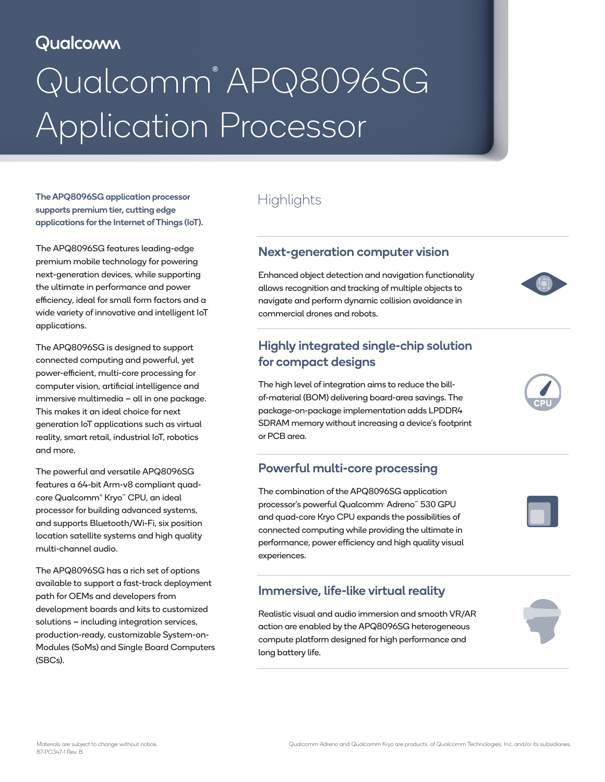# Qualcomm

# Qualcomm® APQ8096SG Application Processor

The APQ8096SG application processor supports premium tier, cutting edge applications for the Internet of Things (IoT).

The APQ8096SG features leading-edge premium mobile technology for powering next-generation devices, while supporting the ultimate in performance and power efficiency, ideal for small form factors and a wide variety of innovative and intelligent IoT applications.

The APQ8096SG is designed to support connected computing and powerful, yet power-efficient, multi-core processing for computer vision, artificial intelligence and immersive multimedia – all in one package. This makes it an ideal choice for next generation IoT applications such as virtual reality, smart retail, industrial IoT, robotics and more.

The powerful and versatile APQ8096SG features a 64-bit Arm-v8 compliant quadcore Qualcomm® Kryo™ CPU, an ideal processor for building advanced systems, and supports Bluetooth/Wi-Fi, six position location satellite systems and high quality multi-channel audio.

The APQ8096SG has a rich set of options available to support a fast-track deployment path for OEMs and developers from development boards and kits to customized solutions – including integration services, production-ready, customizable System-on-Modules (SoMs) and Single Board Computers (SBCs).

# **Highlights**

#### Next-generation computer vision

Enhanced object detection and navigation functionality allows recognition and tracking of multiple objects to navigate and perform dynamic collision avoidance in commercial drones and robots.

### Highly integrated single-chip solution for compact designs

The high level of integration aims to reduce the billof-material (BOM) delivering board-area savings. The package-on-package implementation adds LPDDR4 SDRAM memory without increasing a device's footprint or PCB area.

#### Powerful multi-core processing

The combination of the APQ8096SG application processor's powerful Qualcomm® Adreno™ 530 GPU and quad-core Kryo CPU expands the possibilities of connected computing while providing the ultimate in performance, power efficiency and high quality visual experiences.

#### Immersive, life-like virtual reality

Realistic visual and audio immersion and smooth VR/AR action are enabled by the APQ8096SG heterogeneous compute platform designed for high performance and long battery life.